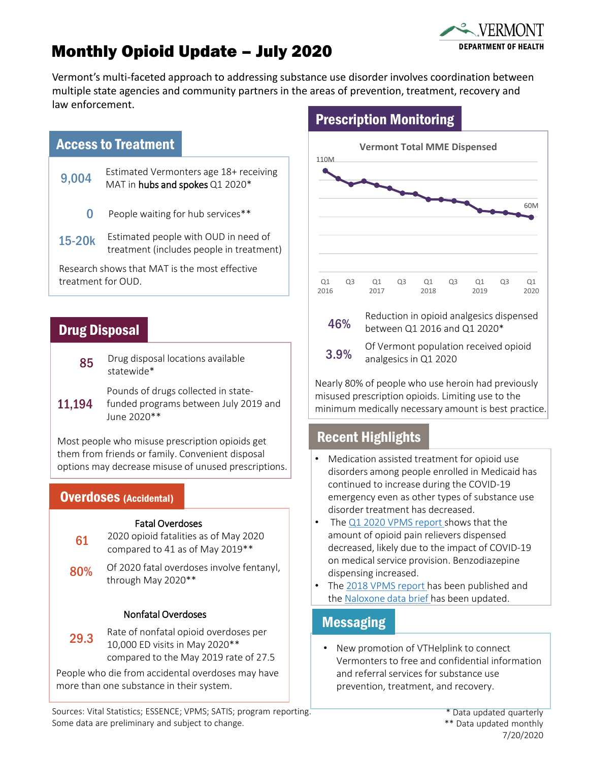# Monthly Opioid Update – July 2020



Vermont's multi-faceted approach to addressing substance use disorder involves coordination between multiple state agencies and community partners in the areas of prevention, treatment, recovery and law enforcement.

#### Access to Treatment

- 9,004 Estimated Vermonters age 18+ receiving<br>9,004 MAT in hube and spales 01,2000\* MAT in hubs and spokes Q1 2020\*
	- 0 People waiting for hub services\*\*
- 15-20k Estimated people with OUD in need of treatment (includes people in treatment)

Research shows that MAT is the most effective treatment for OUD.

### Drug Disposal

85 Drug disposal locations available statewide\*

Pounds of drugs collected in state-

11,194 funded programs between July 2019 and June 2020\*\*

Most people who misuse prescription opioids get them from friends or family. Convenient disposal options may decrease misuse of unused prescriptions.

#### Overdoses (Accidental)

#### Fatal Overdoses

2020 opioid fatalities as of May 2020 compared to 41 as of May 2019\*\* 61

80% Of 2020 fatal overdoses involve fentanyl, through May 2020\*\*

#### Nonfatal Overdoses

Rate of nonfatal opioid overdoses per 10,000 ED visits in May 2020\*\* compared to the May 2019 rate of 27.5 29.3

People who die from accidental overdoses may have more than one substance in their system.

## Prescription Monitoring





Of Vermont population received opioid analgesics in Q1 2020

Nearly 80% of people who use heroin had previously misused prescription opioids. Limiting use to the minimum medically necessary amount is best practice.

### Recent Highlights

- Medication assisted treatment for opioid use disorders among people enrolled in Medicaid has continued to increase during the COVID-19 emergency even as other types of substance use disorder treatment has decreased.
- The [Q1 2020 VPMS report](https://www.healthvermont.gov/sites/default/files/documents/pdf/ADAP_VPMS_Q1_2020.pdf) shows that the amount of opioid pain relievers dispensed decreased, likely due to the impact of COVID-19 on medical service provision. Benzodiazepine dispensing increased.
- The [2018 VPMS report](https://www.healthvermont.gov/sites/default/files/documents/pdf/ADAP_VPMS_2018_Annual_Report.pdf) has been published and the [Naloxone data brief h](https://www.healthvermont.gov/sites/default/files/documents/pdf/ADAP_Naloxone_Data_Brief_0.pdf)as been updated.

#### Messaging

• New promotion of VTHelplink to connect Vermonters to free and confidential information and referral services for substance use prevention, treatment, and recovery.

Sources: Vital Statistics; ESSENCE; VPMS; SATIS; program reporting. Some data are preliminary and subject to change.